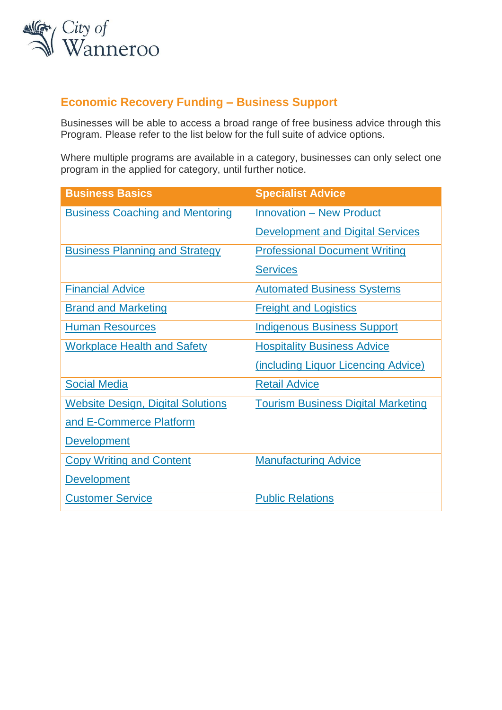

## **Economic Recovery Funding – Business Support**

Businesses will be able to access a broad range of free business advice through this Program. Please refer to the list below for the full suite of advice options.

Where multiple programs are available in a category, businesses can only select one program in the applied for category, until further notice.

| <b>Business Basics</b>                   | <b>Specialist Advice</b>                  |
|------------------------------------------|-------------------------------------------|
| <b>Business Coaching and Mentoring</b>   | <b>Innovation - New Product</b>           |
|                                          | <b>Development and Digital Services</b>   |
| <b>Business Planning and Strategy</b>    | <b>Professional Document Writing</b>      |
|                                          | <b>Services</b>                           |
| <b>Financial Advice</b>                  | <b>Automated Business Systems</b>         |
| <b>Brand and Marketing</b>               | <b>Freight and Logistics</b>              |
| <b>Human Resources</b>                   | <b>Indigenous Business Support</b>        |
| <b>Workplace Health and Safety</b>       | <b>Hospitality Business Advice</b>        |
|                                          | (including Liquor Licencing Advice)       |
| <b>Social Media</b>                      | <b>Retail Advice</b>                      |
| <b>Website Design, Digital Solutions</b> | <b>Tourism Business Digital Marketing</b> |
| and E-Commerce Platform                  |                                           |
| <b>Development</b>                       |                                           |
| <b>Copy Writing and Content</b>          | <b>Manufacturing Advice</b>               |
| <b>Development</b>                       |                                           |
| <b>Customer Service</b>                  | <b>Public Relations</b>                   |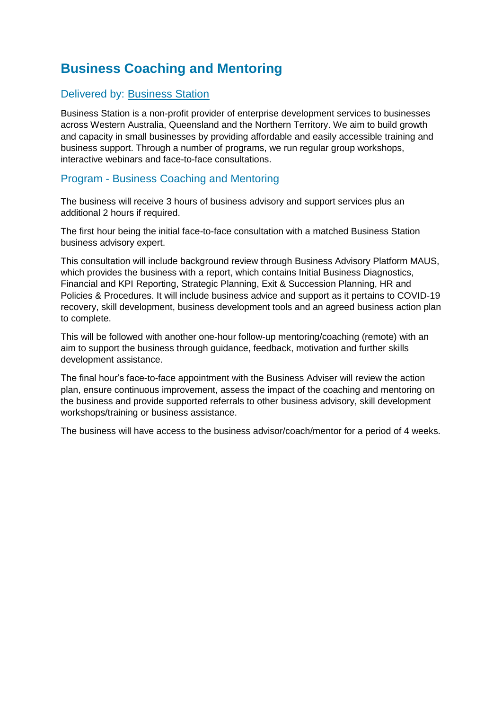# <span id="page-1-0"></span>**Business Coaching and Mentoring**

### Delivered by: [Business Station](https://www.businessstation.com.au/)

Business Station is a non-profit provider of enterprise development services to businesses across Western Australia, Queensland and the Northern Territory. We aim to build growth and capacity in small businesses by providing affordable and easily accessible training and business support. Through a number of programs, we run regular group workshops, interactive webinars and face-to-face consultations.

### Program - Business Coaching and Mentoring

The business will receive 3 hours of business advisory and support services plus an additional 2 hours if required.

The first hour being the initial face-to-face consultation with a matched Business Station business advisory expert.

This consultation will include background review through Business Advisory Platform MAUS, which provides the business with a report, which contains Initial Business Diagnostics, Financial and KPI Reporting, Strategic Planning, Exit & Succession Planning, HR and Policies & Procedures. It will include business advice and support as it pertains to COVID-19 recovery, skill development, business development tools and an agreed business action plan to complete.

This will be followed with another one-hour follow-up mentoring/coaching (remote) with an aim to support the business through guidance, feedback, motivation and further skills development assistance.

The final hour's face-to-face appointment with the Business Adviser will review the action plan, ensure continuous improvement, assess the impact of the coaching and mentoring on the business and provide supported referrals to other business advisory, skill development workshops/training or business assistance.

The business will have access to the business advisor/coach/mentor for a period of 4 weeks.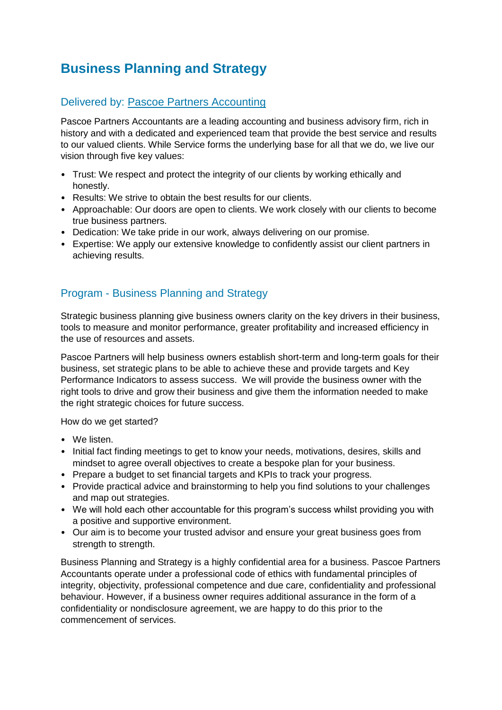# <span id="page-2-0"></span>**Business Planning and Strategy**

## Delivered by: [Pascoe Partners Accounting](https://pascoepartnersaccountants.com.au/)

Pascoe Partners Accountants are a leading accounting and business advisory firm, rich in history and with a dedicated and experienced team that provide the best service and results to our valued clients. While Service forms the underlying base for all that we do, we live our vision through five key values:

- Trust: We respect and protect the integrity of our clients by working ethically and honestly.
- Results: We strive to obtain the best results for our clients.
- Approachable: Our doors are open to clients. We work closely with our clients to become true business partners.
- Dedication: We take pride in our work, always delivering on our promise.
- Expertise: We apply our extensive knowledge to confidently assist our client partners in achieving results.

## Program - Business Planning and Strategy

Strategic business planning give business owners clarity on the key drivers in their business, tools to measure and monitor performance, greater profitability and increased efficiency in the use of resources and assets.

Pascoe Partners will help business owners establish short-term and long-term goals for their business, set strategic plans to be able to achieve these and provide targets and Key Performance Indicators to assess success. We will provide the business owner with the right tools to drive and grow their business and give them the information needed to make the right strategic choices for future success.

How do we get started?

- We listen.
- Initial fact finding meetings to get to know your needs, motivations, desires, skills and mindset to agree overall objectives to create a bespoke plan for your business.
- Prepare a budget to set financial targets and KPIs to track your progress.
- Provide practical advice and brainstorming to help you find solutions to your challenges and map out strategies.
- We will hold each other accountable for this program's success whilst providing you with a positive and supportive environment.
- Our aim is to become your trusted advisor and ensure your great business goes from strength to strength.

Business Planning and Strategy is a highly confidential area for a business. Pascoe Partners Accountants operate under a professional code of ethics with fundamental principles of integrity, objectivity, professional competence and due care, confidentiality and professional behaviour. However, if a business owner requires additional assurance in the form of a confidentiality or nondisclosure agreement, we are happy to do this prior to the commencement of services.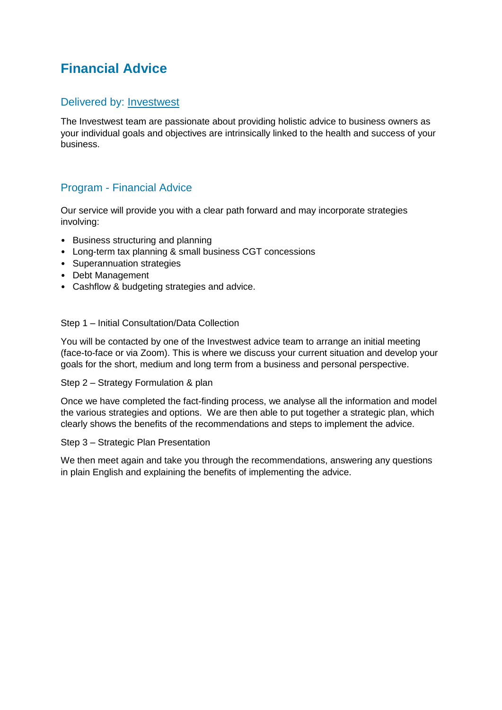# <span id="page-3-0"></span>**Financial Advice**

### Delivered by: [Investwest](http://www.investwestlife.com/)

The Investwest team are passionate about providing holistic advice to business owners as your individual goals and objectives are intrinsically linked to the health and success of your business.

## Program - Financial Advice

Our service will provide you with a clear path forward and may incorporate strategies involving:

- Business structuring and planning
- Long-term tax planning & small business CGT concessions
- Superannuation strategies
- Debt Management
- Cashflow & budgeting strategies and advice.

#### Step 1 – Initial Consultation/Data Collection

You will be contacted by one of the Investwest advice team to arrange an initial meeting (face-to-face or via Zoom). This is where we discuss your current situation and develop your goals for the short, medium and long term from a business and personal perspective.

#### Step 2 – Strategy Formulation & plan

Once we have completed the fact-finding process, we analyse all the information and model the various strategies and options. We are then able to put together a strategic plan, which clearly shows the benefits of the recommendations and steps to implement the advice.

#### Step 3 – Strategic Plan Presentation

We then meet again and take you through the recommendations, answering any questions in plain English and explaining the benefits of implementing the advice.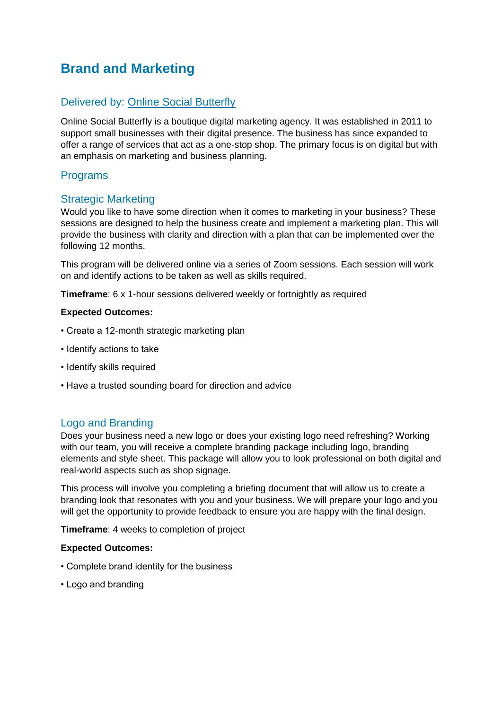# <span id="page-4-0"></span>**Brand and Marketing**

### Delivered by: [Online Social Butterfly](https://onlinesocialbutterfly.com.au/)

Online Social Butterfly is a boutique digital marketing agency. It was established in 2011 to support small businesses with their digital presence. The business has since expanded to offer a range of services that act as a one-stop shop. The primary focus is on digital but with an emphasis on marketing and business planning.

### Programs

### Strategic Marketing

Would you like to have some direction when it comes to marketing in your business? These sessions are designed to help the business create and implement a marketing plan. This will provide the business with clarity and direction with a plan that can be implemented over the following 12 months.

This program will be delivered online via a series of Zoom sessions. Each session will work on and identify actions to be taken as well as skills required.

**Timeframe:** 6 x 1-hour sessions delivered weekly or fortnightly as required

#### **Expected Outcomes:**

- Create a 12-month strategic marketing plan
- Identify actions to take
- Identify skills required
- Have a trusted sounding board for direction and advice

#### Logo and Branding

Does your business need a new logo or does your existing logo need refreshing? Working with our team, you will receive a complete branding package including logo, branding elements and style sheet. This package will allow you to look professional on both digital and real-world aspects such as shop signage.

This process will involve you completing a briefing document that will allow us to create a branding look that resonates with you and your business. We will prepare your logo and you will get the opportunity to provide feedback to ensure you are happy with the final design.

**Timeframe**: 4 weeks to completion of project

#### **Expected Outcomes:**

- Complete brand identity for the business
- Logo and branding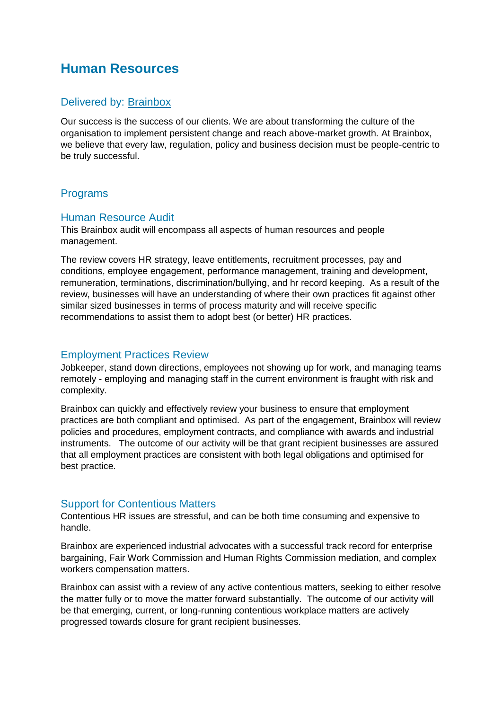## <span id="page-5-0"></span>**Human Resources**

### Delivered by: [Brainbox](https://brain-box.com.au/)

Our success is the success of our clients. We are about transforming the culture of the organisation to implement persistent change and reach above-market growth. At Brainbox, we believe that every law, regulation, policy and business decision must be people-centric to be truly successful.

### Programs

#### Human Resource Audit

This Brainbox audit will encompass all aspects of human resources and people management.

The review covers HR strategy, leave entitlements, recruitment processes, pay and conditions, employee engagement, performance management, training and development, remuneration, terminations, discrimination/bullying, and hr record keeping. As a result of the review, businesses will have an understanding of where their own practices fit against other similar sized businesses in terms of process maturity and will receive specific recommendations to assist them to adopt best (or better) HR practices.

#### Employment Practices Review

Jobkeeper, stand down directions, employees not showing up for work, and managing teams remotely - employing and managing staff in the current environment is fraught with risk and complexity.

Brainbox can quickly and effectively review your business to ensure that employment practices are both compliant and optimised. As part of the engagement, Brainbox will review policies and procedures, employment contracts, and compliance with awards and industrial instruments. The outcome of our activity will be that grant recipient businesses are assured that all employment practices are consistent with both legal obligations and optimised for best practice.

#### Support for Contentious Matters

Contentious HR issues are stressful, and can be both time consuming and expensive to handle.

Brainbox are experienced industrial advocates with a successful track record for enterprise bargaining, Fair Work Commission and Human Rights Commission mediation, and complex workers compensation matters.

Brainbox can assist with a review of any active contentious matters, seeking to either resolve the matter fully or to move the matter forward substantially. The outcome of our activity will be that emerging, current, or long-running contentious workplace matters are actively progressed towards closure for grant recipient businesses.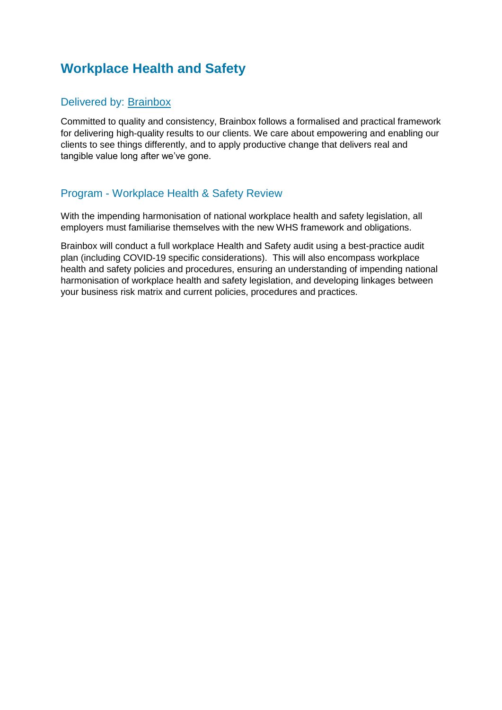# <span id="page-6-0"></span>**Workplace Health and Safety**

## Delivered by: [Brainbox](https://brain-box.com.au/)

Committed to quality and consistency, Brainbox follows a formalised and practical framework for delivering high-quality results to our clients. We care about empowering and enabling our clients to see things differently, and to apply productive change that delivers real and tangible value long after we've gone.

### Program - Workplace Health & Safety Review

With the impending harmonisation of national workplace health and safety legislation, all employers must familiarise themselves with the new WHS framework and obligations.

Brainbox will conduct a full workplace Health and Safety audit using a best-practice audit plan (including COVID-19 specific considerations). This will also encompass workplace health and safety policies and procedures, ensuring an understanding of impending national harmonisation of workplace health and safety legislation, and developing linkages between your business risk matrix and current policies, procedures and practices.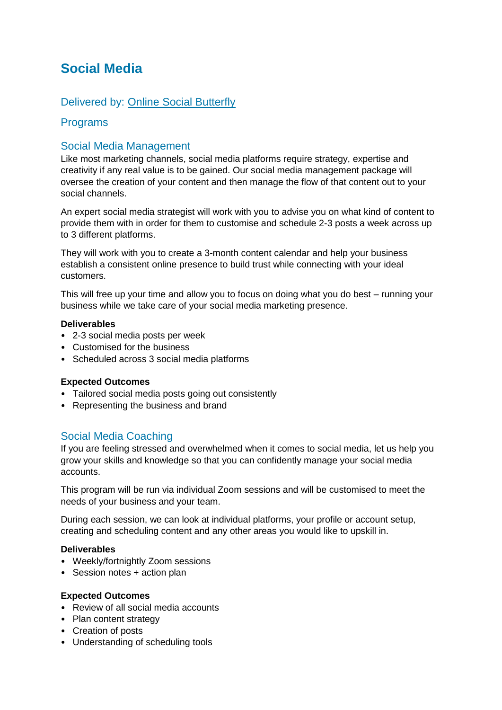## <span id="page-7-0"></span>**Social Media**

### Delivered by: [Online Social Butterfly](https://onlinesocialbutterfly.com.au/)

### Programs

### Social Media Management

Like most marketing channels, social media platforms require strategy, expertise and creativity if any real value is to be gained. Our social media management package will oversee the creation of your content and then manage the flow of that content out to your social channels.

An expert social media strategist will work with you to advise you on what kind of content to provide them with in order for them to customise and schedule 2-3 posts a week across up to 3 different platforms.

They will work with you to create a 3-month content calendar and help your business establish a consistent online presence to build trust while connecting with your ideal customers.

This will free up your time and allow you to focus on doing what you do best – running your business while we take care of your social media marketing presence.

#### **Deliverables**

- 2-3 social media posts per week
- Customised for the business
- Scheduled across 3 social media platforms

#### **Expected Outcomes**

- Tailored social media posts going out consistently
- Representing the business and brand

### Social Media Coaching

If you are feeling stressed and overwhelmed when it comes to social media, let us help you grow your skills and knowledge so that you can confidently manage your social media accounts.

This program will be run via individual Zoom sessions and will be customised to meet the needs of your business and your team.

During each session, we can look at individual platforms, your profile or account setup, creating and scheduling content and any other areas you would like to upskill in.

#### **Deliverables**

- Weekly/fortnightly Zoom sessions
- Session notes + action plan

#### **Expected Outcomes**

- Review of all social media accounts
- Plan content strategy
- Creation of posts
- Understanding of scheduling tools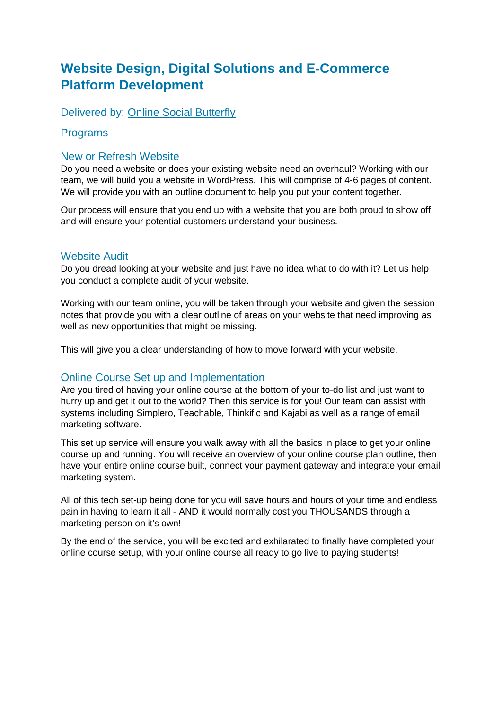## <span id="page-8-0"></span>**Website Design, Digital Solutions and E-Commerce Platform Development**

Delivered by: [Online Social Butterfly](https://onlinesocialbutterfly.com.au/)

### Programs

### New or Refresh Website

Do you need a website or does your existing website need an overhaul? Working with our team, we will build you a website in WordPress. This will comprise of 4-6 pages of content. We will provide you with an outline document to help you put your content together.

Our process will ensure that you end up with a website that you are both proud to show off and will ensure your potential customers understand your business.

#### Website Audit

Do you dread looking at your website and just have no idea what to do with it? Let us help you conduct a complete audit of your website.

Working with our team online, you will be taken through your website and given the session notes that provide you with a clear outline of areas on your website that need improving as well as new opportunities that might be missing.

This will give you a clear understanding of how to move forward with your website.

### Online Course Set up and Implementation

Are you tired of having your online course at the bottom of your to-do list and just want to hurry up and get it out to the world? Then this service is for you! Our team can assist with systems including Simplero, Teachable, Thinkific and Kajabi as well as a range of email marketing software.

This set up service will ensure you walk away with all the basics in place to get your online course up and running. You will receive an overview of your online course plan outline, then have your entire online course built, connect your payment gateway and integrate your email marketing system.

All of this tech set-up being done for you will save hours and hours of your time and endless pain in having to learn it all - AND it would normally cost you THOUSANDS through a marketing person on it's own!

By the end of the service, you will be excited and exhilarated to finally have completed your online course setup, with your online course all ready to go live to paying students!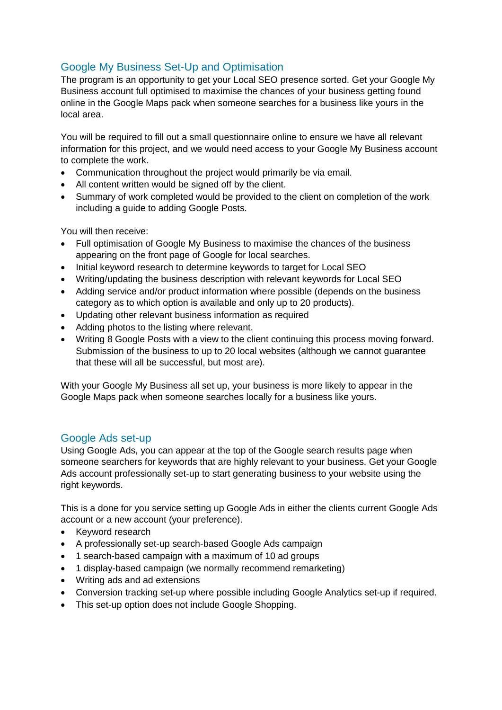## Google My Business Set-Up and Optimisation

The program is an opportunity to get your Local SEO presence sorted. Get your Google My Business account full optimised to maximise the chances of your business getting found online in the Google Maps pack when someone searches for a business like yours in the local area.

You will be required to fill out a small questionnaire online to ensure we have all relevant information for this project, and we would need access to your Google My Business account to complete the work.

- Communication throughout the project would primarily be via email.
- All content written would be signed off by the client.
- Summary of work completed would be provided to the client on completion of the work including a guide to adding Google Posts.

You will then receive:

- Full optimisation of Google My Business to maximise the chances of the business appearing on the front page of Google for local searches.
- Initial keyword research to determine keywords to target for Local SEO
- Writing/updating the business description with relevant keywords for Local SEO
- Adding service and/or product information where possible (depends on the business category as to which option is available and only up to 20 products).
- Updating other relevant business information as required
- Adding photos to the listing where relevant.
- Writing 8 Google Posts with a view to the client continuing this process moving forward. Submission of the business to up to 20 local websites (although we cannot guarantee that these will all be successful, but most are).

With your Google My Business all set up, your business is more likely to appear in the Google Maps pack when someone searches locally for a business like yours.

### Google Ads set-up

Using Google Ads, you can appear at the top of the Google search results page when someone searchers for keywords that are highly relevant to your business. Get your Google Ads account professionally set-up to start generating business to your website using the right keywords.

This is a done for you service setting up Google Ads in either the clients current Google Ads account or a new account (your preference).

- Keyword research
- A professionally set-up search-based Google Ads campaign
- 1 search-based campaign with a maximum of 10 ad groups
- 1 display-based campaign (we normally recommend remarketing)
- Writing ads and ad extensions
- Conversion tracking set-up where possible including Google Analytics set-up if required.
- This set-up option does not include Google Shopping.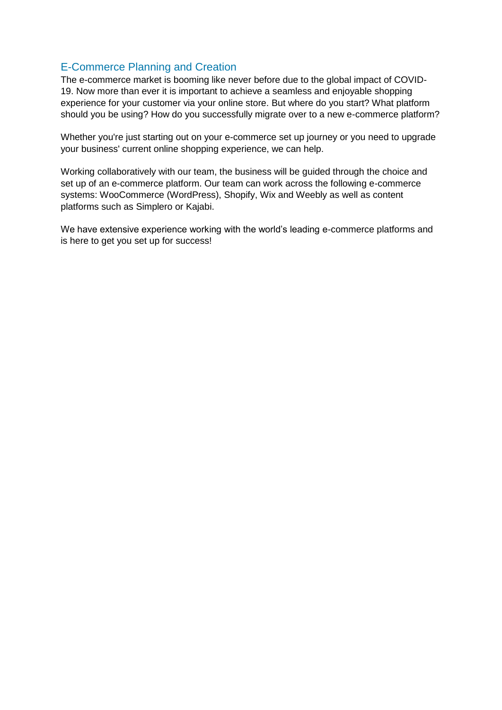## E-Commerce Planning and Creation

The e-commerce market is booming like never before due to the global impact of COVID-19. Now more than ever it is important to achieve a seamless and enjoyable shopping experience for your customer via your online store. But where do you start? What platform should you be using? How do you successfully migrate over to a new e-commerce platform?

Whether you're just starting out on your e-commerce set up journey or you need to upgrade your business' current online shopping experience, we can help.

Working collaboratively with our team, the business will be guided through the choice and set up of an e-commerce platform. Our team can work across the following e-commerce systems: WooCommerce (WordPress), Shopify, Wix and Weebly as well as content platforms such as Simplero or Kajabi.

We have extensive experience working with the world's leading e-commerce platforms and is here to get you set up for success!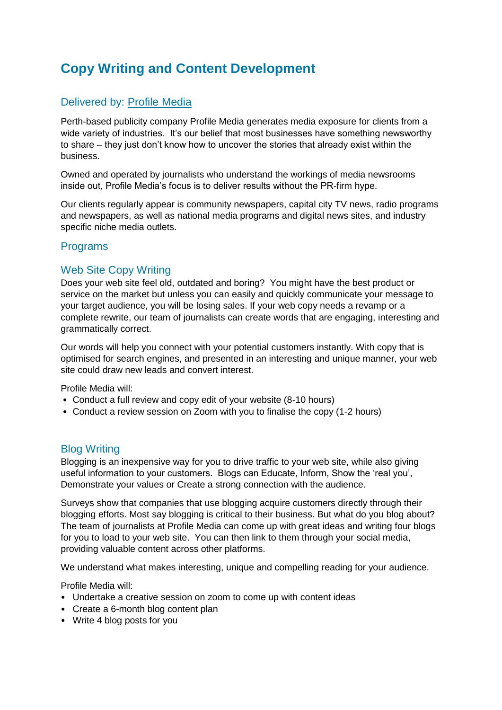# <span id="page-11-0"></span>**Copy Writing and Content Development**

## Delivered by: [Profile Media](https://www.profilemedia.com.au/)

Perth-based publicity company Profile Media generates media exposure for clients from a wide variety of industries. It's our belief that most businesses have something newsworthy to share – they just don't know how to uncover the stories that already exist within the business.

Owned and operated by journalists who understand the workings of media newsrooms inside out, Profile Media's focus is to deliver results without the PR-firm hype.

Our clients regularly appear is community newspapers, capital city TV news, radio programs and newspapers, as well as national media programs and digital news sites, and industry specific niche media outlets.

### Programs

### Web Site Copy Writing

Does your web site feel old, outdated and boring? You might have the best product or service on the market but unless you can easily and quickly communicate your message to your target audience, you will be losing sales. If your web copy needs a revamp or a complete rewrite, our team of journalists can create words that are engaging, interesting and grammatically correct.

Our words will help you connect with your potential customers instantly. With copy that is optimised for search engines, and presented in an interesting and unique manner, your web site could draw new leads and convert interest.

Profile Media will:

- Conduct a full review and copy edit of your website (8-10 hours)
- Conduct a review session on Zoom with you to finalise the copy (1-2 hours)

### Blog Writing

Blogging is an inexpensive way for you to drive traffic to your web site, while also giving useful information to your customers. Blogs can Educate, Inform, Show the 'real you', Demonstrate your values or Create a strong connection with the audience.

Surveys show that companies that use blogging acquire customers directly through their blogging efforts. Most say blogging is critical to their business. But what do you blog about? The team of journalists at Profile Media can come up with great ideas and writing four blogs for you to load to your web site. You can then link to them through your social media, providing valuable content across other platforms.

We understand what makes interesting, unique and compelling reading for your audience.

Profile Media will:

- Undertake a creative session on zoom to come up with content ideas
- Create a 6-month blog content plan
- Write 4 blog posts for you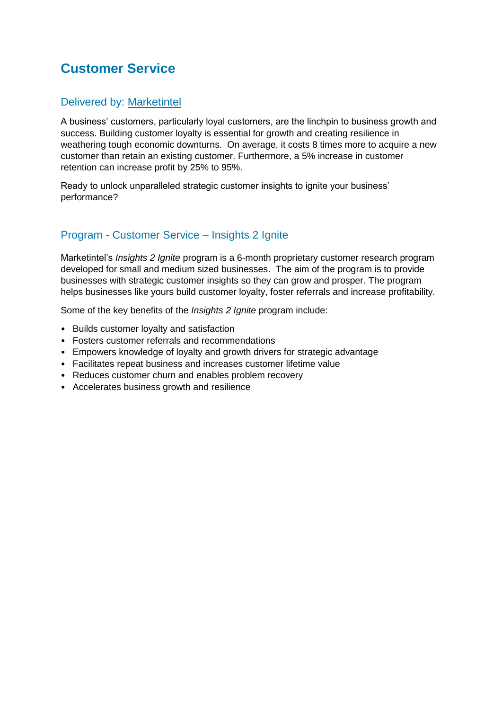# <span id="page-12-0"></span>**Customer Service**

### Delivered by: [Marketintel](http://marketintel.com.au/)

A business' customers, particularly loyal customers, are the linchpin to business growth and success. Building customer loyalty is essential for growth and creating resilience in weathering tough economic downturns. On average, it costs 8 times more to acquire a new customer than retain an existing customer. Furthermore, a 5% increase in customer retention can increase profit by 25% to 95%.

Ready to unlock unparalleled strategic customer insights to ignite your business' performance?

### Program - Customer Service – Insights 2 Ignite

Marketintel's *Insights 2 Ignite* program is a 6-month proprietary customer research program developed for small and medium sized businesses. The aim of the program is to provide businesses with strategic customer insights so they can grow and prosper. The program helps businesses like yours build customer loyalty, foster referrals and increase profitability.

Some of the key benefits of the *Insights 2 Ignite* program include:

- Builds customer loyalty and satisfaction
- Fosters customer referrals and recommendations
- Empowers knowledge of loyalty and growth drivers for strategic advantage
- Facilitates repeat business and increases customer lifetime value
- Reduces customer churn and enables problem recovery
- Accelerates business growth and resilience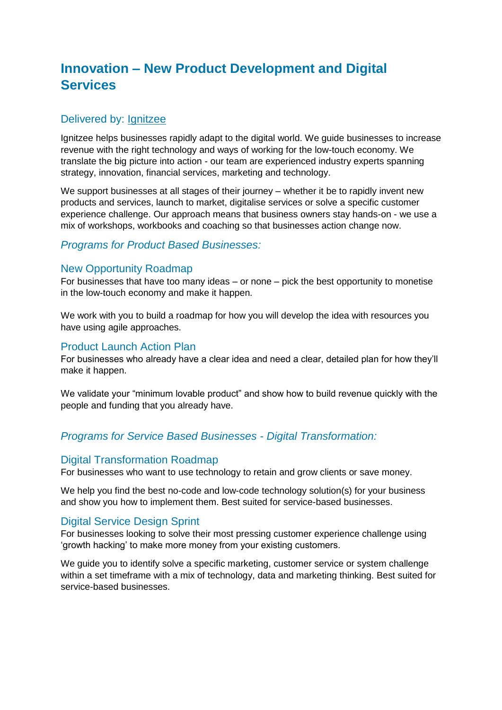# <span id="page-13-0"></span>**Innovation – New Product Development and Digital Services**

### Delivered by: **Ignitzee**

Ignitzee helps businesses rapidly adapt to the digital world. We guide businesses to increase revenue with the right technology and ways of working for the low-touch economy. We translate the big picture into action - our team are experienced industry experts spanning strategy, innovation, financial services, marketing and technology.

We support businesses at all stages of their journey – whether it be to rapidly invent new products and services, launch to market, digitalise services or solve a specific customer experience challenge. Our approach means that business owners stay hands-on - we use a mix of workshops, workbooks and coaching so that businesses action change now.

### *Programs for Product Based Businesses:*

#### New Opportunity Roadmap

For businesses that have too many ideas – or none – pick the best opportunity to monetise in the low-touch economy and make it happen.

We work with you to build a roadmap for how you will develop the idea with resources you have using agile approaches.

#### Product Launch Action Plan

For businesses who already have a clear idea and need a clear, detailed plan for how they'll make it happen.

We validate your "minimum lovable product" and show how to build revenue quickly with the people and funding that you already have.

#### *Programs for Service Based Businesses - Digital Transformation:*

#### Digital Transformation Roadmap

For businesses who want to use technology to retain and grow clients or save money.

We help you find the best no-code and low-code technology solution(s) for your business and show you how to implement them. Best suited for service-based businesses.

#### Digital Service Design Sprint

For businesses looking to solve their most pressing customer experience challenge using 'growth hacking' to make more money from your existing customers.

We guide you to identify solve a specific marketing, customer service or system challenge within a set timeframe with a mix of technology, data and marketing thinking. Best suited for service-based businesses.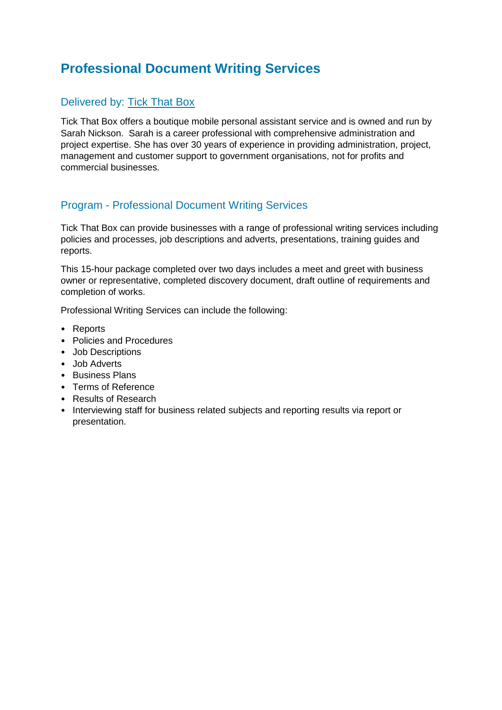# <span id="page-14-0"></span>**Professional Document Writing Services**

## Delivered by: [Tick That Box](http://www.tickthatbox.com.au/)

Tick That Box offers a boutique mobile personal assistant service and is owned and run by Sarah Nickson. Sarah is a career professional with comprehensive administration and project expertise. She has over 30 years of experience in providing administration, project, management and customer support to government organisations, not for profits and commercial businesses.

### Program - Professional Document Writing Services

Tick That Box can provide businesses with a range of professional writing services including policies and processes, job descriptions and adverts, presentations, training guides and reports.

This 15-hour package completed over two days includes a meet and greet with business owner or representative, completed discovery document, draft outline of requirements and completion of works.

Professional Writing Services can include the following:

- Reports
- Policies and Procedures
- Job Descriptions
- Job Adverts
- Business Plans
- Terms of Reference
- Results of Research
- Interviewing staff for business related subjects and reporting results via report or presentation.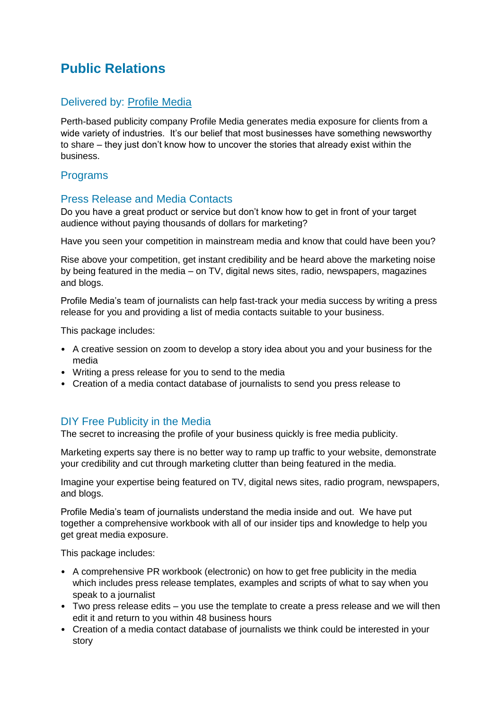# <span id="page-15-0"></span>**Public Relations**

### Delivered by: [Profile Media](https://www.profilemedia.com.au/)

Perth-based publicity company Profile Media generates media exposure for clients from a wide variety of industries. It's our belief that most businesses have something newsworthy to share – they just don't know how to uncover the stories that already exist within the business.

### Programs

### Press Release and Media Contacts

Do you have a great product or service but don't know how to get in front of your target audience without paying thousands of dollars for marketing?

Have you seen your competition in mainstream media and know that could have been you?

Rise above your competition, get instant credibility and be heard above the marketing noise by being featured in the media – on TV, digital news sites, radio, newspapers, magazines and blogs.

Profile Media's team of journalists can help fast-track your media success by writing a press release for you and providing a list of media contacts suitable to your business.

This package includes:

- A creative session on zoom to develop a story idea about you and your business for the media
- Writing a press release for you to send to the media
- Creation of a media contact database of journalists to send you press release to

### DIY Free Publicity in the Media

The secret to increasing the profile of your business quickly is free media publicity.

Marketing experts say there is no better way to ramp up traffic to your website, demonstrate your credibility and cut through marketing clutter than being featured in the media.

Imagine your expertise being featured on TV, digital news sites, radio program, newspapers, and blogs.

Profile Media's team of journalists understand the media inside and out. We have put together a comprehensive workbook with all of our insider tips and knowledge to help you get great media exposure.

This package includes:

- A comprehensive PR workbook (electronic) on how to get free publicity in the media which includes press release templates, examples and scripts of what to say when you speak to a journalist
- Two press release edits you use the template to create a press release and we will then edit it and return to you within 48 business hours
- Creation of a media contact database of journalists we think could be interested in your story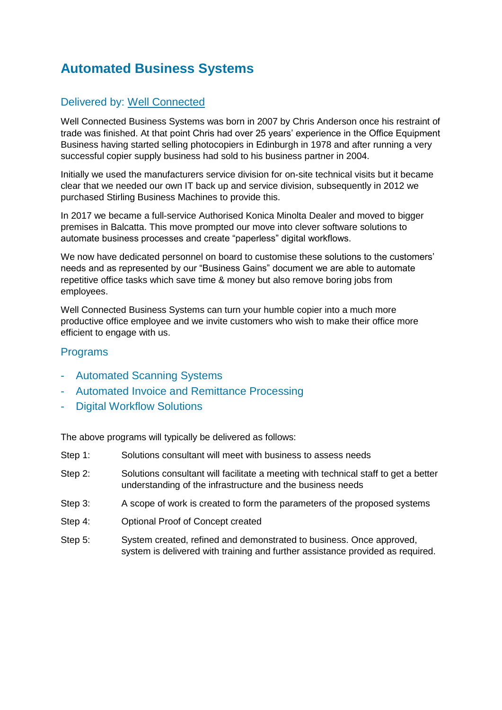# <span id="page-16-0"></span>**Automated Business Systems**

## Delivered by: [Well Connected](https://wellconnected.net.au/)

Well Connected Business Systems was born in 2007 by Chris Anderson once his restraint of trade was finished. At that point Chris had over 25 years' experience in the Office Equipment Business having started selling photocopiers in Edinburgh in 1978 and after running a very successful copier supply business had sold to his business partner in 2004.

Initially we used the manufacturers service division for on-site technical visits but it became clear that we needed our own IT back up and service division, subsequently in 2012 we purchased Stirling Business Machines to provide this.

In 2017 we became a full-service Authorised Konica Minolta Dealer and moved to bigger premises in Balcatta. This move prompted our move into clever software solutions to automate business processes and create "paperless" digital workflows.

We now have dedicated personnel on board to customise these solutions to the customers' needs and as represented by our "Business Gains" document we are able to automate repetitive office tasks which save time & money but also remove boring jobs from employees.

Well Connected Business Systems can turn your humble copier into a much more productive office employee and we invite customers who wish to make their office more efficient to engage with us.

### Programs

- Automated Scanning Systems
- Automated Invoice and Remittance Processing
- Digital Workflow Solutions

The above programs will typically be delivered as follows:

- Step 1: Solutions consultant will meet with business to assess needs
- Step 2: Solutions consultant will facilitate a meeting with technical staff to get a better understanding of the infrastructure and the business needs
- Step 3: A scope of work is created to form the parameters of the proposed systems
- Step 4: Optional Proof of Concept created
- <span id="page-16-1"></span>Step 5: System created, refined and demonstrated to business. Once approved, system is delivered with training and further assistance provided as required.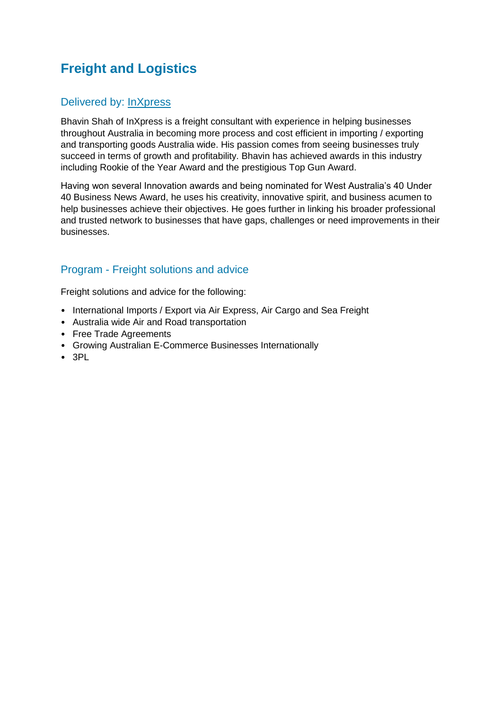# **Freight and Logistics**

## Delivered by: [InXpress](file:///C:/Users/cow4336/Desktop/InXpress%20Web)

Bhavin Shah of InXpress is a freight consultant with experience in helping businesses throughout Australia in becoming more process and cost efficient in importing / exporting and transporting goods Australia wide. His passion comes from seeing businesses truly succeed in terms of growth and profitability. Bhavin has achieved awards in this industry including Rookie of the Year Award and the prestigious Top Gun Award.

Having won several Innovation awards and being nominated for West Australia's 40 Under 40 Business News Award, he uses his creativity, innovative spirit, and business acumen to help businesses achieve their objectives. He goes further in linking his broader professional and trusted network to businesses that have gaps, challenges or need improvements in their businesses.

## Program - Freight solutions and advice

Freight solutions and advice for the following:

- International Imports / Export via Air Express, Air Cargo and Sea Freight
- Australia wide Air and Road transportation
- Free Trade Agreements
- Growing Australian E-Commerce Businesses Internationally
- 3PL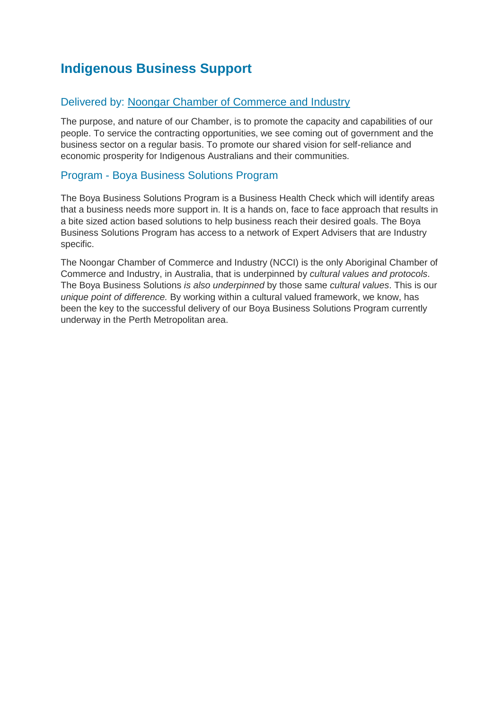# <span id="page-18-0"></span>**Indigenous Business Support**

### Delivered by: [Noongar Chamber of Commerce and Industry](file:///C:/Users/cow4336/Desktop/ncci.com.au)

The purpose, and nature of our Chamber, is to promote the capacity and capabilities of our people. To service the contracting opportunities, we see coming out of government and the business sector on a regular basis. To promote our shared vision for self-reliance and economic prosperity for Indigenous Australians and their communities.

### Program - Boya Business Solutions Program

The Boya Business Solutions Program is a Business Health Check which will identify areas that a business needs more support in. It is a hands on, face to face approach that results in a bite sized action based solutions to help business reach their desired goals. The Boya Business Solutions Program has access to a network of Expert Advisers that are Industry specific.

The Noongar Chamber of Commerce and Industry (NCCI) is the only Aboriginal Chamber of Commerce and Industry, in Australia, that is underpinned by *cultural values and protocols*. The Boya Business Solutions *is also underpinned* by those same *cultural values*. This is our *unique point of difference.* By working within a cultural valued framework, we know, has been the key to the successful delivery of our Boya Business Solutions Program currently underway in the Perth Metropolitan area.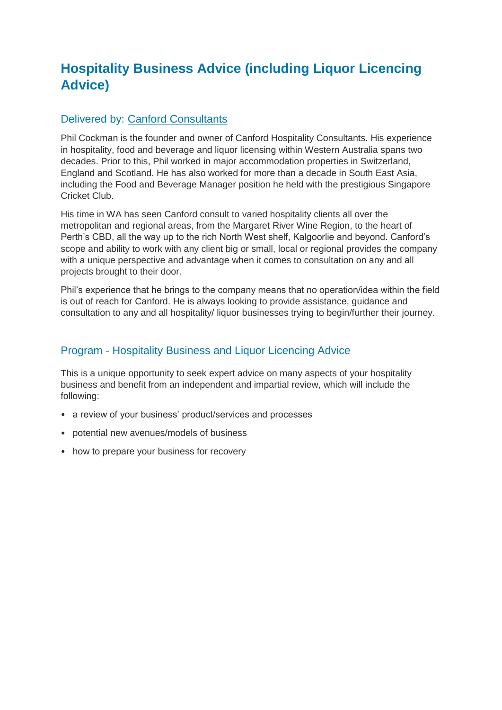# <span id="page-19-0"></span>**Hospitality Business Advice (including Liquor Licencing Advice)**

### Delivered by: [Canford Consultants](https://canford.com.au/)

Phil Cockman is the founder and owner of Canford Hospitality Consultants. His experience in hospitality, food and beverage and liquor licensing within Western Australia spans two decades. Prior to this, Phil worked in major accommodation properties in Switzerland, England and Scotland. He has also worked for more than a decade in South East Asia, including the Food and Beverage Manager position he held with the prestigious Singapore Cricket Club.

His time in WA has seen Canford consult to varied hospitality clients all over the metropolitan and regional areas, from the Margaret River Wine Region, to the heart of Perth's CBD, all the way up to the rich North West shelf, Kalgoorlie and beyond. Canford's scope and ability to work with any client big or small, local or regional provides the company with a unique perspective and advantage when it comes to consultation on any and all projects brought to their door.

Phil's experience that he brings to the company means that no operation/idea within the field is out of reach for Canford. He is always looking to provide assistance, guidance and consultation to any and all hospitality/ liquor businesses trying to begin/further their journey.

### Program - Hospitality Business and Liquor Licencing Advice

This is a unique opportunity to seek expert advice on many aspects of your hospitality business and benefit from an independent and impartial review, which will include the following:

- a review of your business' product/services and processes
- potential new avenues/models of business
- how to prepare your business for recovery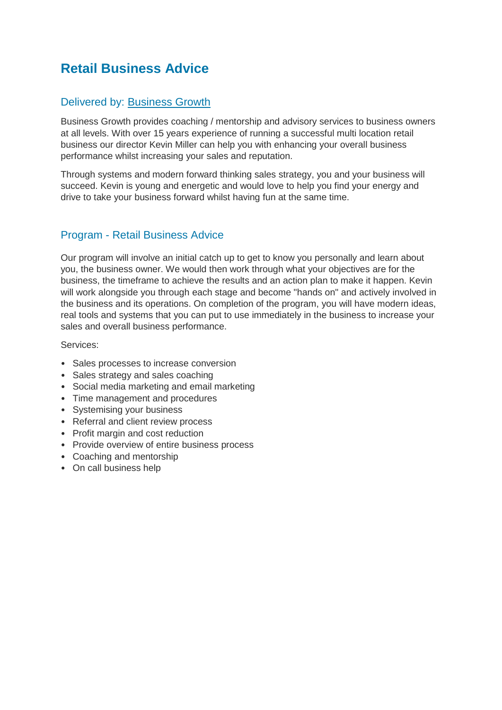# <span id="page-20-0"></span>**Retail Business Advice**

### Delivered by: [Business Growth](https://www.businessgrowth.net.au/)

Business Growth provides coaching / mentorship and advisory services to business owners at all levels. With over 15 years experience of running a successful multi location retail business our director Kevin Miller can help you with enhancing your overall business performance whilst increasing your sales and reputation.

Through systems and modern forward thinking sales strategy, you and your business will succeed. Kevin is young and energetic and would love to help you find your energy and drive to take your business forward whilst having fun at the same time.

### Program - Retail Business Advice

Our program will involve an initial catch up to get to know you personally and learn about you, the business owner. We would then work through what your objectives are for the business, the timeframe to achieve the results and an action plan to make it happen. Kevin will work alongside you through each stage and become "hands on" and actively involved in the business and its operations. On completion of the program, you will have modern ideas, real tools and systems that you can put to use immediately in the business to increase your sales and overall business performance.

Services:

- Sales processes to increase conversion
- Sales strategy and sales coaching
- Social media marketing and email marketing
- Time management and procedures
- Systemising your business
- Referral and client review process
- Profit margin and cost reduction
- Provide overview of entire business process
- Coaching and mentorship
- On call business help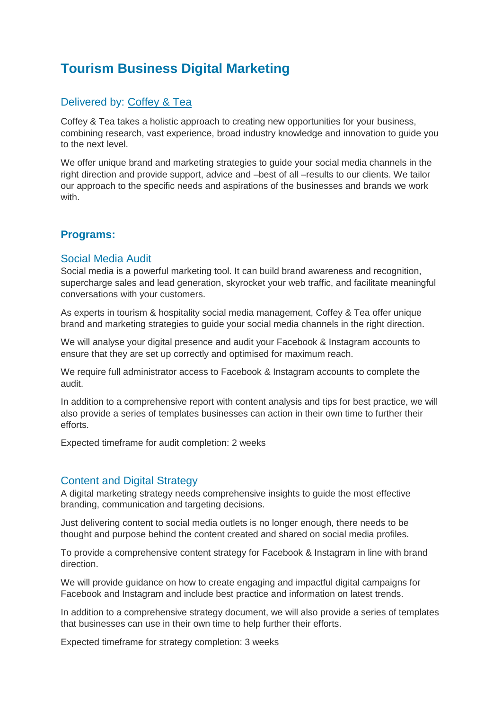# <span id="page-21-0"></span>**Tourism Business Digital Marketing**

## Delivered by: [Coffey & Tea](https://coffeyandtea.com/)

Coffey & Tea takes a holistic approach to creating new opportunities for your business, combining research, vast experience, broad industry knowledge and innovation to guide you to the next level.

We offer unique brand and marketing strategies to guide your social media channels in the right direction and provide support, advice and –best of all –results to our clients. We tailor our approach to the specific needs and aspirations of the businesses and brands we work with.

### **Programs:**

#### Social Media Audit

Social media is a powerful marketing tool. It can build brand awareness and recognition, supercharge sales and lead generation, skyrocket your web traffic, and facilitate meaningful conversations with your customers.

As experts in tourism & hospitality social media management, Coffey & Tea offer unique brand and marketing strategies to guide your social media channels in the right direction.

We will analyse your digital presence and audit your Facebook & Instagram accounts to ensure that they are set up correctly and optimised for maximum reach.

We require full administrator access to Facebook & Instagram accounts to complete the audit.

In addition to a comprehensive report with content analysis and tips for best practice, we will also provide a series of templates businesses can action in their own time to further their efforts.

Expected timeframe for audit completion: 2 weeks

### Content and Digital Strategy

A digital marketing strategy needs comprehensive insights to guide the most effective branding, communication and targeting decisions.

Just delivering content to social media outlets is no longer enough, there needs to be thought and purpose behind the content created and shared on social media profiles.

To provide a comprehensive content strategy for Facebook & Instagram in line with brand direction.

We will provide guidance on how to create engaging and impactful digital campaigns for Facebook and Instagram and include best practice and information on latest trends.

In addition to a comprehensive strategy document, we will also provide a series of templates that businesses can use in their own time to help further their efforts.

Expected timeframe for strategy completion: 3 weeks